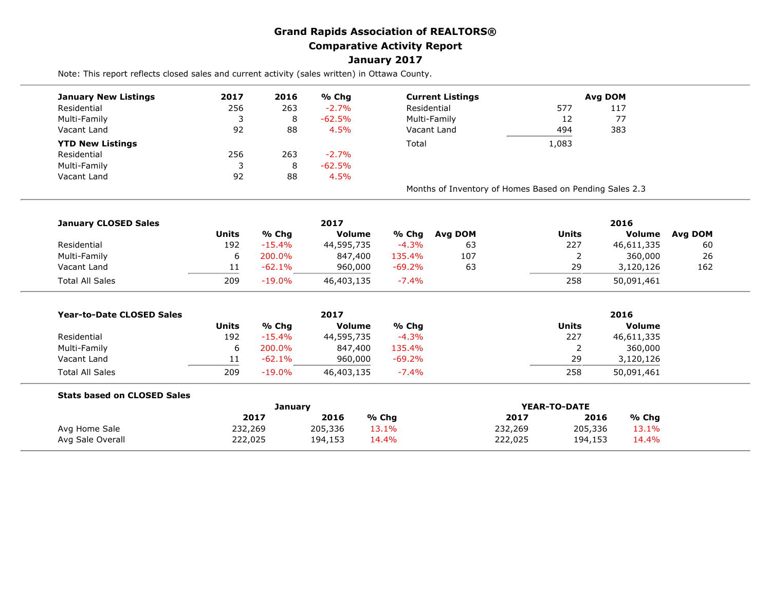## **Grand Rapids Association of REALTORS® Comparative Activity Report January 2017**

Note: This report reflects closed sales and current activity (sales written) in Ottawa County.

| 2017 | 2016 | % Chg     | <b>Current Listings</b>                                 |       | Avg DOM |  |  |
|------|------|-----------|---------------------------------------------------------|-------|---------|--|--|
| 256  | 263  | $-2.7%$   | Residential                                             | 577   | 117     |  |  |
| 3    | 8    | $-62.5\%$ | Multi-Family                                            | 12    | 77      |  |  |
| 92   | 88   | 4.5%      | Vacant Land                                             | 494   | 383     |  |  |
|      |      |           | Total                                                   | 1,083 |         |  |  |
| 256  | 263  | $-2.7%$   |                                                         |       |         |  |  |
| 3    | 8    | $-62.5%$  |                                                         |       |         |  |  |
| 92   | 88   | 4.5%      |                                                         |       |         |  |  |
|      |      |           | Months of Inventory of Homes Based on Pending Sales 2.3 |       |         |  |  |
|      |      |           |                                                         |       |         |  |  |

| <b>January CLOSED Sales</b> |              | 2017      |               |           |         |       | 2016       |         |  |  |  |  |
|-----------------------------|--------------|-----------|---------------|-----------|---------|-------|------------|---------|--|--|--|--|
|                             | <b>Units</b> | % Chg     | <b>Volume</b> | % Chg     | Avg DOM | Units | Volume     | Avg DOM |  |  |  |  |
| Residential                 | 192          | $-15.4%$  | 44,595,735    | $-4.3%$   | 63      | 227   | 46,611,335 | 60      |  |  |  |  |
| Multi-Family                | ь            | 200.0%    | 847,400       | 135.4%    | 107     |       | 360,000    | 26      |  |  |  |  |
| Vacant Land                 |              | $-62.1\%$ | 960,000       | $-69.2\%$ | 63      | 29    | 3,120,126  | 162     |  |  |  |  |
| <b>Total All Sales</b>      | 209          | $-19.0%$  | 46,403,135    | $-7.4%$   |         | 258   | 50,091,461 |         |  |  |  |  |

| <b>Year-to-Date CLOSED Sales</b> |       |           | 2017          | 2016      |       |               |  |
|----------------------------------|-------|-----------|---------------|-----------|-------|---------------|--|
|                                  | Units | % Chg     | <b>Volume</b> | % Chq     | Units | <b>Volume</b> |  |
| Residential                      | 192   | $-15.4%$  | 44,595,735    | $-4.3%$   | 227   | 46,611,335    |  |
| Multi-Family                     |       | 200.0%    | 847,400       | 135.4%    |       | 360,000       |  |
| Vacant Land                      |       | $-62.1\%$ | 960,000       | $-69.2\%$ | 29    | 3,120,126     |  |
| <b>Total All Sales</b>           | 209   | $-19.0\%$ | 46,403,135    | $-7.4%$   | 258   | 50,091,461    |  |

| <b>Stats based on CLOSED Sales</b> |         |         |       |         |              |       |
|------------------------------------|---------|---------|-------|---------|--------------|-------|
|                                    |         | Januarv |       |         | YEAR-TO-DATE |       |
|                                    | 2017    | 2016    | % Chg | 2017    | 2016         | % Chg |
| Avg Home Sale                      | 232,269 | 205,336 | 13.1% | 232,269 | 205,336      | 13.1% |
| Avg Sale Overall                   | 222,025 | 194,153 | 14.4% | 222,025 | 194,153      | 14.4% |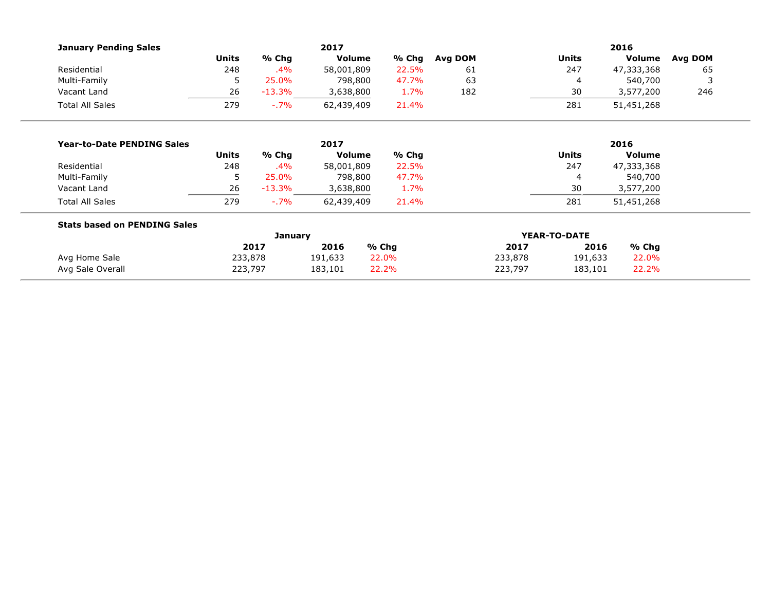| <b>January Pending Sales</b>        |              |                | 2017          |       | 2016         |         |              |            |         |
|-------------------------------------|--------------|----------------|---------------|-------|--------------|---------|--------------|------------|---------|
|                                     | <b>Units</b> | % Chg          | <b>Volume</b> | % Chg | Avg DOM      |         | <b>Units</b> | Volume     | Avg DOM |
| Residential                         | 248          | .4%            | 58,001,809    | 22.5% | 61           |         | 247          | 47,333,368 | 65      |
| Multi-Family                        | 5            | 25.0%          | 798,800       | 47.7% | 63           |         | 4            | 540,700    | 3       |
| Vacant Land                         | 26           | $-13.3\%$      | 3,638,800     | 1.7%  | 182          |         | 30           | 3,577,200  | 246     |
| <b>Total All Sales</b>              | 279          | $-7\%$         | 62,439,409    | 21.4% |              |         | 281          | 51,451,268 |         |
|                                     |              |                |               |       |              |         |              |            |         |
| <b>Year-to-Date PENDING Sales</b>   |              |                | 2017          |       |              | 2016    |              |            |         |
|                                     | <b>Units</b> | % Chg          | <b>Volume</b> | % Chg |              |         | <b>Units</b> | Volume     |         |
| Residential                         | 248          | .4%            | 58,001,809    | 22.5% |              |         | 247          | 47,333,368 |         |
| Multi-Family                        | 5            | 25.0%          | 798,800       | 47.7% |              |         | 4            | 540,700    |         |
| Vacant Land                         | 26           | $-13.3\%$      | 3,638,800     | 1.7%  |              |         | 30           | 3,577,200  |         |
| <b>Total All Sales</b>              | 279          | $-7\%$         | 62,439,409    | 21.4% |              |         | 281          | 51,451,268 |         |
| <b>Stats based on PENDING Sales</b> |              |                |               |       |              |         |              |            |         |
|                                     |              | <b>January</b> |               |       | YEAR-TO-DATE |         |              |            |         |
|                                     |              | 2017           | 2016          | % Chg |              | 2017    | 2016         | $%$ Chg    |         |
| Avg Home Sale                       | 233,878      |                | 191,633       | 22.0% |              | 233,878 | 191,633      | 22.0%      |         |
| Avg Sale Overall                    | 223,797      |                | 183,101       | 22.2% |              | 223,797 | 183,101      | 22.2%      |         |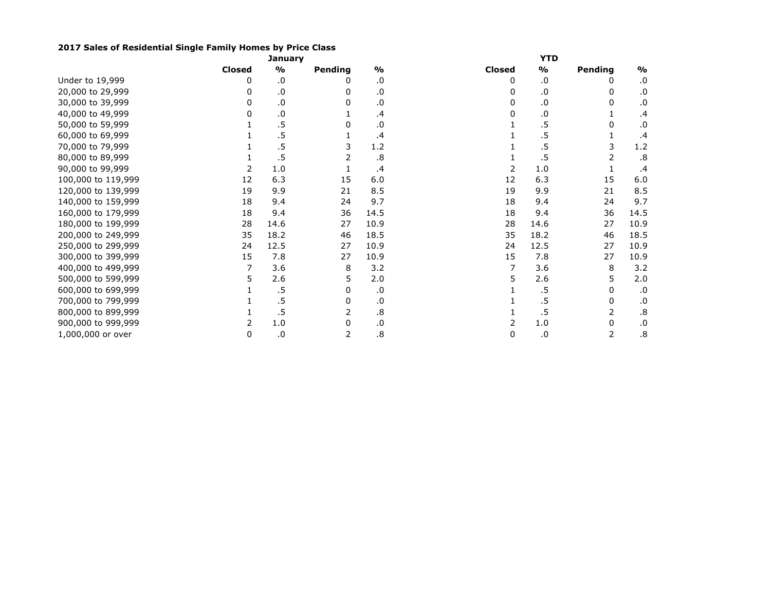## **2017 Sales of Residential Single Family Homes by Price Class**

|                    |               | January       |         |               | YTD           |           |         |               |  |  |
|--------------------|---------------|---------------|---------|---------------|---------------|-----------|---------|---------------|--|--|
|                    | <b>Closed</b> | $\frac{0}{0}$ | Pending | $\frac{1}{2}$ | <b>Closed</b> | %         | Pending | $\frac{0}{0}$ |  |  |
| Under to 19,999    | 0             | .0            |         | .0            | 0             | .0        |         | .0            |  |  |
| 20,000 to 29,999   | 0             | $\cdot$ 0     | 0       | .0            |               | .0        |         | $\cdot$ 0.    |  |  |
| 30,000 to 39,999   | 0             | $\cdot$ 0     | 0       | .0            |               | .0        |         | .0            |  |  |
| 40,000 to 49,999   |               | $\cdot$ 0     |         | .4            |               | .0        |         | $\cdot$       |  |  |
| 50,000 to 59,999   |               | .5            | 0       | .0            |               | .5        |         | .0            |  |  |
| 60,000 to 69,999   |               | .5            |         | .4            |               | .5        |         | .4            |  |  |
| 70,000 to 79,999   |               | .5            | 3       | 1.2           |               | .5        |         | 1.2           |  |  |
| 80,000 to 89,999   |               | .5            |         | .8            |               | $.5\,$    |         | .8            |  |  |
| 90,000 to 99,999   |               | 1.0           |         | .4            |               | 1.0       |         | .4            |  |  |
| 100,000 to 119,999 | 12            | 6.3           | 15      | 6.0           | 12            | 6.3       | 15      | 6.0           |  |  |
| 120,000 to 139,999 | 19            | 9.9           | 21      | 8.5           | 19            | 9.9       | 21      | 8.5           |  |  |
| 140,000 to 159,999 | 18            | 9.4           | 24      | 9.7           | 18            | 9.4       | 24      | 9.7           |  |  |
| 160,000 to 179,999 | 18            | 9.4           | 36      | 14.5          | 18            | 9.4       | 36      | 14.5          |  |  |
| 180,000 to 199,999 | 28            | 14.6          | 27      | 10.9          | 28            | 14.6      | 27      | 10.9          |  |  |
| 200,000 to 249,999 | 35            | 18.2          | 46      | 18.5          | 35            | 18.2      | 46      | 18.5          |  |  |
| 250,000 to 299,999 | 24            | 12.5          | 27      | 10.9          | 24            | 12.5      | 27      | 10.9          |  |  |
| 300,000 to 399,999 | 15            | 7.8           | 27      | 10.9          | 15            | 7.8       | 27      | 10.9          |  |  |
| 400,000 to 499,999 |               | 3.6           | 8       | 3.2           |               | 3.6       | 8       | 3.2           |  |  |
| 500,000 to 599,999 |               | 2.6           | 5       | 2.0           |               | 2.6       | 5       | 2.0           |  |  |
| 600,000 to 699,999 |               | .5            | 0       | .0            |               | .5        |         | .0            |  |  |
| 700,000 to 799,999 |               | .5            | 0       | .0            |               | .5        | 0       | .0            |  |  |
| 800,000 to 899,999 |               | .5            |         | .8            |               | .5        | 2       | .8            |  |  |
| 900,000 to 999,999 |               | $1.0\,$       | 0       | .0            |               | 1.0       | 0       | .0            |  |  |
| 1,000,000 or over  | 0             | $\cdot$ 0     | 2       | .8            | 0             | $\cdot$ 0 | 2       | .8            |  |  |